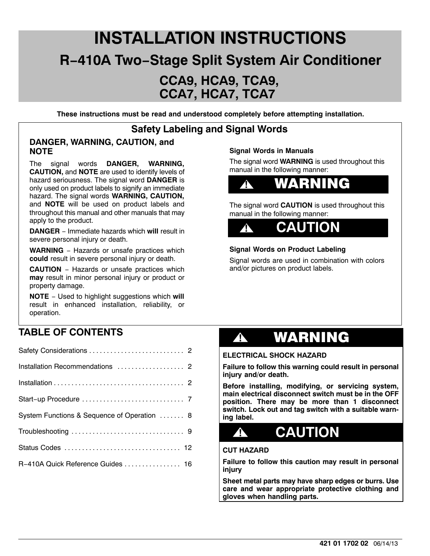# **INSTALLATION INSTRUCTIONS R−410A Two−Stage Split System Air Conditioner CCA9, HCA9, TCA9,**

## **CCA7, HCA7, TCA7**

**These instructions must be read and understood completely before attempting installation.**

### **Safety Labeling and Signal Words**

### **DANGER, WARNING, CAUTION, and NOTE**

The signal words **DANGER, WARNING, CAUTION,** and **NOTE** are used to identify levels of hazard seriousness. The signal word **DANGER** is only used on product labels to signify an immediate hazard. The signal words **WARNING, CAUTION,** and **NOTE** will be used on product labels and throughout this manual and other manuals that may apply to the product.

**DANGER** − Immediate hazards which **will** result in severe personal injury or death.

**WARNING** − Hazards or unsafe practices which **could** result in severe personal injury or death.

**CAUTION** − Hazards or unsafe practices which **may** result in minor personal injury or product or property damage.

**NOTE** − Used to highlight suggestions which **will** result in enhanced installation, reliability, or operation.

### **Signal Words in Manuals**

The signal word **WARNING** is used throughout this manual in the following manner:



The signal word **CAUTION** is used throughout this manual in the following manner:



### **Signal Words on Product Labeling**

Signal words are used in combination with colors and/or pictures on product labels.

### **TABLE OF CONTENTS**

| Safety Considerations  2                    |  |
|---------------------------------------------|--|
| Installation Recommendations  2             |  |
|                                             |  |
|                                             |  |
| System Functions & Sequence of Operation  8 |  |
|                                             |  |
|                                             |  |
| R-410A Quick Reference Guides  16           |  |

# **!** WARNING

### **ELECTRICAL SHOCK HAZARD**

**Failure to follow this warning could result in personal injury and/or death.**

**Before installing, modifying, or servicing system, main electrical disconnect switch must be in the OFF position. There may be more than 1 disconnect switch. Lock out and tag switch with a suitable warning label.**

# **! CAUTION**

### **CUT HAZARD**

**Failure to follow this caution may result in personal injury**

**Sheet metal parts may have sharp edges or burrs. Use care and wear appropriate protective clothing and gloves when handling parts.**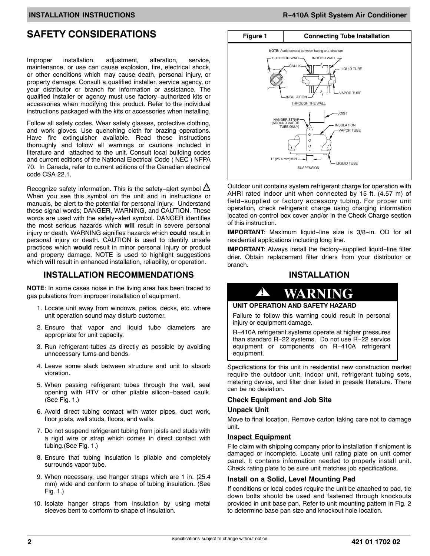### **SAFETY CONSIDERATIONS**

Improper installation, adjustment, alteration, service, maintenance, or use can cause explosion, fire, electrical shock, or other conditions which may cause death, personal injury, or property damage. Consult a qualified installer, service agency, or your distributor or branch for information or assistance. The qualified installer or agency must use factory−authorized kits or accessories when modifying this product. Refer to the individual instructions packaged with the kits or accessories when installing.

Follow all safety codes. Wear safety glasses, protective clothing, and work gloves. Use quenching cloth for brazing operations. Have fire extinguisher available. Read these instructions thoroughly and follow all warnings or cautions included in literature and attached to the unit. Consult local building codes and current editions of the National Electrical Code ( NEC ) NFPA 70. In Canada, refer to current editions of the Canadian electrical code CSA 22.1.

Recognize safety information. This is the safety−alert symbol **! !** When you see this symbol on the unit and in instructions or manuals, be alert to the potential for personal injury. Understand these signal words; DANGER, WARNING, and CAUTION. These words are used with the safety−alert symbol. DANGER identifies the most serious hazards which **will** result in severe personal injury or death. WARNING signifies hazards which **could** result in personal injury or death. CAUTION is used to identify unsafe practices which **would** result in minor personal injury or product and property damage. NOTE is used to highlight suggestions which **will** result in enhanced installation, reliability, or operation.

### **INSTALLATION RECOMMENDATIONS**

**NOTE**: In some cases noise in the living area has been traced to gas pulsations from improper installation of equipment.

- 1. Locate unit away from windows, patios, decks, etc. where unit operation sound may disturb customer.
- 2. Ensure that vapor and liquid tube diameters are appropriate for unit capacity.
- 3. Run refrigerant tubes as directly as possible by avoiding unnecessary turns and bends.
- 4. Leave some slack between structure and unit to absorb vibration.
- 5. When passing refrigerant tubes through the wall, seal opening with RTV or other pliable silicon−based caulk. (See Fig. 1.)
- 6. Avoid direct tubing contact with water pipes, duct work, floor joists, wall studs, floors, and walls.
- 7. Do not suspend refrigerant tubing from joists and studs with a rigid wire or strap which comes in direct contact with tubing.(See Fig. 1.)
- 8. Ensure that tubing insulation is pliable and completely surrounds vapor tube.
- 9. When necessary, use hanger straps which are 1 in. (25.4 mm) wide and conform to shape of tubing insulation. (See Fig. 1.)
- 10. Isolate hanger straps from insulation by using metal sleeves bent to conform to shape of insulation.



Outdoor unit contains system refrigerant charge for operation with AHRI rated indoor unit when connected by 15 ft. (4.57 m) of field−supplied or factory accessory tubing. For proper unit operation, check refrigerant charge using charging information located on control box cover and/or in the Check Charge section of this instruction.

**IMPORTANT**: Maximum liquid−line size is 3/8−in. OD for all residential applications including long line.

**IMPORTANT**: Always install the factory−supplied liquid−line filter drier. Obtain replacement filter driers from your distributor or branch.

### **INSTALLATION**

## **! WARNING**

### **UNIT OPERATION AND SAFETY HAZARD**

Failure to follow this warning could result in personal injury or equipment damage.

R−410A refrigerant systems operate at higher pressures than standard R−22 systems. Do not use R−22 service equipment or components on R−410A refrigerant equipment.

Specifications for this unit in residential new construction market require the outdoor unit, indoor unit, refrigerant tubing sets, metering device, and filter drier listed in presale literature. There can be no deviation.

### **Check Equipment and Job Site**

### **Unpack Unit**

Move to final location. Remove carton taking care not to damage unit.

### **Inspect Equipment**

File claim with shipping company prior to installation if shipment is damaged or incomplete. Locate unit rating plate on unit corner panel. It contains information needed to properly install unit. Check rating plate to be sure unit matches job specifications.

### **Install on a Solid, Level Mounting Pad**

If conditions or local codes require the unit be attached to pad, tie down bolts should be used and fastened through knockouts provided in unit base pan. Refer to unit mounting pattern in Fig. 2 to determine base pan size and knockout hole location.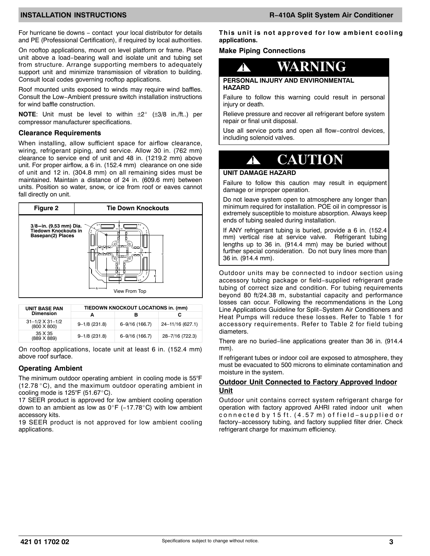For hurricane tie downs − contact your local distributor for details and PE (Professional Certification), if required by local authorities.

On rooftop applications, mount on level platform or frame. Place unit above a load−bearing wall and isolate unit and tubing set from structure. Arrange supporting members to adequately support unit and minimize transmission of vibration to building. Consult local codes governing rooftop applications.

Roof mounted units exposed to winds may require wind baffles. Consult the Low−Ambient pressure switch installation instructions for wind baffle construction.

**NOTE**: Unit must be level to within  $\pm 2^{\circ}$  ( $\pm 3/8$  in./ft..) per compressor manufacturer specifications.

### **Clearance Requirements**

When installing, allow sufficient space for airflow clearance, wiring, refrigerant piping, and service. Allow 30 in. (762 mm) clearance to service end of unit and 48 in. (1219.2 mm) above unit. For proper airflow, a 6 in. (152.4 mm) clearance on one side of unit and 12 in. (304.8 mm) on all remaining sides must be maintained. Maintain a distance of 24 in. (609.6 mm) between units. Position so water, snow, or ice from roof or eaves cannot fall directly on unit.



| <b>UNIT BASE PAN</b>                             | TIEDOWN KNOCKOUT LOCATIONS in. (mm) |                    |                  |  |
|--------------------------------------------------|-------------------------------------|--------------------|------------------|--|
| <b>Dimension</b>                                 |                                     | в                  |                  |  |
| $31 - 1/2 \times 31 - 1/2$<br>$(800 \times 800)$ | $9 - 1/8$ (231.8)                   | $6 - 9/16$ (166.7) | 24-11/16 (627.1) |  |
| 35 X 35<br>(889 X 889)                           | $9 - 1/8$ (231.8)                   | $6 - 9/16$ (166.7) | 28-7/16 (722.3)  |  |

On rooftop applications, locate unit at least 6 in. (152.4 mm) above roof surface.

### **Operating Ambient**

**Operating Ambient**<br>The minimum outdoor operating ambient in cooling mode is 55°F (12.78  $\degree$ C), and the maximum outdoor operating ambient in cooling mode is 125 $\degree$ F (51.67 $\degree$ C). , maximum e<br>F (51.67°C).

17 SEER product is approved for low ambient cooling operation  $\alpha$  down to an ambient as low as 0°F (−17.78°C) with low ambient accessory kits.

19 SEER product is not approved for low ambient cooling applications.

**This unit is not approved for low ambient cooling applications.**

### **Make Piping Connections**

## **! WARNING**

**PERSONAL INJURY AND ENVIRONMENTAL HAZARD**

Failure to follow this warning could result in personal injury or death.

Relieve pressure and recover all refrigerant before system repair or final unit disposal.

Use all service ports and open all flow−control devices, including solenoid valves.



### **UNIT DAMAGE HAZARD**

Failure to follow this caution may result in equipment damage or improper operation.

Do not leave system open to atmosphere any longer than minimum required for installation. POE oil in compressor is extremely susceptible to moisture absorption. Always keep ends of tubing sealed during installation.

If ANY refrigerant tubing is buried, provide a 6 in. (152.4 mm) vertical rise at service valve. Refrigerant tubing lengths up to 36 in. (914.4 mm) may be buried without further special consideration. Do not bury lines more than 36 in. (914.4 mm).

Outdoor units may be connected to indoor section using accessory tubing package or field−supplied refrigerant grade tubing of correct size and condition. For tubing requirements beyond 80 ft/24.38 m, substantial capacity and performance losses can occur. Following the recommendations in the Long Line Applications Guideline for Split−System Air Conditioners and Heat Pumps will reduce these losses. Refer to Table 1 for accessory requirements. Refer to Table 2 for field tubing diameters.

There are no buried−line applications greater than 36 in. (914.4 mm).

If refrigerant tubes or indoor coil are exposed to atmosphere, they must be evacuated to 500 microns to eliminate contamination and moisture in the system.

### **Outdoor Unit Connected to Factory Approved Indoor Unit**

Outdoor unit contains correct system refrigerant charge for operation with factory approved AHRI rated indoor unit when connected by 15 ft. (4.57 m) of field-supplied or factory−accessory tubing, and factory supplied filter drier. Check refrigerant charge for maximum efficiency.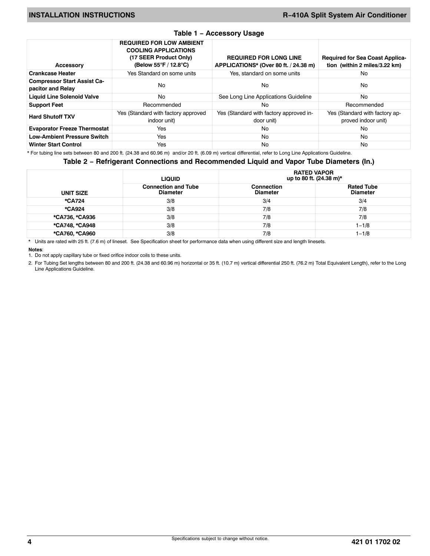| <b>REQUIRED FOR LOW AMBIENT</b><br><b>COOLING APPLICATIONS</b><br>(17 SEER Product Only)<br>(Below 55°F / 12.8°C)<br>Accessory |                                                     | <b>REQUIRED FOR LONG LINE</b><br>APPLICATIONS* (Over 80 ft. / 24.38 m) | <b>Required for Sea Coast Applica-</b><br>tion (within 2 miles/3.22 km) |
|--------------------------------------------------------------------------------------------------------------------------------|-----------------------------------------------------|------------------------------------------------------------------------|-------------------------------------------------------------------------|
| <b>Crankcase Heater</b>                                                                                                        | Yes Standard on some units                          | Yes, standard on some units                                            | No                                                                      |
| <b>Compressor Start Assist Ca-</b><br>pacitor and Relay                                                                        | No.                                                 |                                                                        | No                                                                      |
| <b>Liquid Line Solenoid Valve</b>                                                                                              | No.                                                 | See Long Line Applications Guideline                                   | No                                                                      |
| <b>Support Feet</b><br>Recommended                                                                                             |                                                     | No                                                                     | Recommended                                                             |
| <b>Hard Shutoff TXV</b>                                                                                                        | Yes (Standard with factory approved<br>indoor unit) | Yes (Standard with factory approved in-<br>door unit)                  | Yes (Standard with factory ap-<br>proved indoor unit)                   |
| <b>Evaporator Freeze Thermostat</b>                                                                                            | Yes                                                 | No                                                                     | No                                                                      |
| <b>Low-Ambient Pressure Switch</b>                                                                                             | Yes.                                                | No                                                                     | No                                                                      |
| <b>Winter Start Control</b>                                                                                                    | Yes                                                 | No                                                                     | No                                                                      |

#### **Table 1 − Accessory Usage**

\* For tubing line sets between 80 and 200 ft. (24.38 and 60.96 m) and/or 20 ft. (6.09 m) vertical differential, refer to Long Line Applications Guideline.

### **Table 2 − Refrigerant Connections and Recommended Liquid and Vapor Tube Diameters (In.)**

|                | <b>LIQUID</b>                                 | <b>RATED VAPOR</b><br>up to 80 ft. (24.38 m)* |                                      |
|----------------|-----------------------------------------------|-----------------------------------------------|--------------------------------------|
| UNIT SIZE      | <b>Connection and Tube</b><br><b>Diameter</b> | <b>Connection</b><br><b>Diameter</b>          | <b>Rated Tube</b><br><b>Diameter</b> |
| *CA724         | 3/8                                           | 3/4                                           | 3/4                                  |
| *CA924         | 3/8                                           | 7/8                                           | 7/8                                  |
| *CA736, *CA936 | 3/8                                           | 7/8                                           | 7/8                                  |
| *CA748, *CA948 | 3/8                                           | 7/8                                           | $1 - 1/8$                            |
| *CA760, *CA960 | 3/8                                           | 7/8                                           | $1 - 1/8$                            |

\* Units are rated with 25 ft. (7.6 m) of lineset. See Specification sheet for performance data when using different size and length linesets.

**Notes**:

1. Do not apply capillary tube or fixed orifice indoor coils to these units.

2. For Tubing Set lengths between 80 and 200 ft. (24.38 and 60.96 m) horizontal or 35 ft. (10.7 m) vertical differential 250 ft. (76.2 m) Total Equivalent Length), refer to the Long Line Applications Guideline.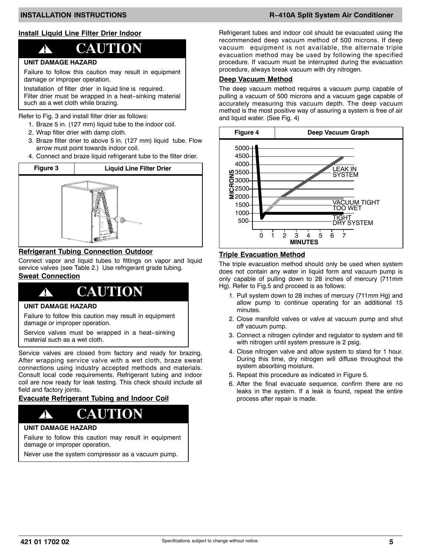### **INSTALLATION INSTRUCTIONS R−410A Split System Air Conditioner**

### **Install Liquid Line Filter Drier Indoor**

## **! CAUTION**

### **UNIT DAMAGE HAZARD**

Failure to follow this caution may result in equipment damage or improper operation.

Installation of filter drier in liquid line is required.

Filter drier must be wrapped in a heat−sinking material such as a wet cloth while brazing.

Refer to Fig. 3 and install filter drier as follows:

- 1. Braze 5 in. (127 mm) liquid tube to the indoor coil.
- 2. Wrap filter drier with damp cloth.
- 3. Braze filter drier to above 5 in. (127 mm) liquid tube. Flow arrow must point towards indoor coil.
- 4. Connect and braze liquid refrigerant tube to the filter drier.



### **Refrigerant Tubing Connection Outdoor**

Connect vapor and liquid tubes to fittings on vapor and liquid service valves (see Table 2.) Use refrigerant grade tubing. **Sweat Connection**

# **! CAUTION**

### **UNIT DAMAGE HAZARD**

Failure to follow this caution may result in equipment damage or improper operation.

Service valves must be wrapped in a heat−sinking material such as a wet cloth.

Service valves are closed from factory and ready for brazing. After wrapping service valve with a wet cloth, braze sweat connections using industry accepted methods and materials. Consult local code requirements. Refrigerant tubing and indoor coil are now ready for leak testing. This check should include all field and factory joints.

### **Evacuate Refrigerant Tubing and Indoor Coil**

# **! CAUTION**

### **UNIT DAMAGE HAZARD**

Failure to follow this caution may result in equipment damage or improper operation.

Never use the system compressor as a vacuum pump.

Refrigerant tubes and indoor coil should be evacuated using the recommended deep vacuum method of 500 microns. If deep vacuum equipment is not available, the alternate triple evacuation method may be used by following the specified procedure. If vacuum must be interrupted during the evacuation procedure, always break vacuum with dry nitrogen.

### **Deep Vacuum Method**

The deep vacuum method requires a vacuum pump capable of pulling a vacuum of 500 microns and a vacuum gage capable of accurately measuring this vacuum depth. The deep vacuum method is the most positive way of assuring a system is free of air and liquid water. (See Fig. 4)



### **Triple Evacuation Method**

The triple evacuation method should only be used when system does not contain any water in liquid form and vacuum pump is only capable of pulling down to 28 inches of mercury (711mm Hg). Refer to Fig.5 and proceed is as follows:

- 1. Pull system down to 28 inches of mercury (711mm Hg) and allow pump to continue operating for an additional 15 minutes.
- 2. Close manifold valves or valve at vacuum pump and shut off vacuum pump.
- 3. Connect a nitrogen cylinder and regulator to system and fill with nitrogen until system pressure is 2 psig.
- 4. Close nitrogen valve and allow system to stand for 1 hour. During this time, dry nitrogen will diffuse throughout the system absorbing moisture.
- 5. Repeat this procedure as indicated in Figure 5.
- 6. After the final evacuate sequence, confirm there are no leaks in the system. If a leak is found, repeat the entire process after repair is made.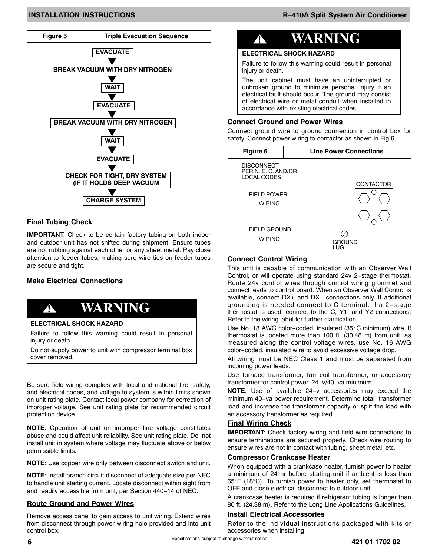

### **Final Tubing Check**

**IMPORTANT:** Check to be certain factory tubing on both indoor and outdoor unit has not shifted during shipment. Ensure tubes are not rubbing against each other or any sheet metal. Pay close attention to feeder tubes, making sure wire ties on feeder tubes are secure and tight.

### **Make Electrical Connections**



### **ELECTRICAL SHOCK HAZARD**

Failure to follow this warning could result in personal injury or death.

Do not supply power to unit with compressor terminal box cover removed.

Be sure field wiring complies with local and national fire, safety, and electrical codes, and voltage to system is within limits shown on unit rating plate. Contact local power company for correction of improper voltage. See unit rating plate for recommended circuit protection device.

**NOTE**: Operation of unit on improper line voltage constitutes abuse and could affect unit reliability. See unit rating plate. Do not install unit in system where voltage may fluctuate above or below permissible limits.

**NOTE**: Use copper wire only between disconnect switch and unit.

**NOTE**: Install branch circuit disconnect of adequate size per NEC to handle unit starting current. Locate disconnect within sight from and readily accessible from unit, per Section 440−14 of NEC.

### **Route Ground and Power Wires**

Remove access panel to gain access to unit wiring. Extend wires from disconnect through power wiring hole provided and into unit control box.



### **ELECTRICAL SHOCK HAZARD**

Failure to follow this warning could result in personal injury or death.

The unit cabinet must have an uninterrupted or unbroken ground to minimize personal injury if an electrical fault should occur. The ground may consist of electrical wire or metal conduit when installed in accordance with existing electrical codes.

### **Connect Ground and Power Wires**

Connect ground wire to ground connection in control box for safety. Connect power wiring to contactor as shown in Fig.6.



### **Connect Control Wiring**

This unit is capable of communication with an Observer Wall Control, or will operate using standard 24v 2−stage thermostat. Route 24v control wires through control wiring grommet and connect leads to control board. When an Observer Wall Control is available, connect DX+ and DX− connections only. If additional grounding is needed connect to C terminal. If a 2−stage thermostat is used, connect to the C, Y1, and Y2 connections. Refer to the wiring label for further clarification.

Use No. 18 AWG color−coded, insulated (35-C minimum) wire. If thermostat is located more than 100 ft. (30.48 m) from unit, as measured along the control voltage wires, use No. 16 AWG color−coded, insulated wire to avoid excessive voltage drop.

All wiring must be NEC Class 1 and must be separated from incoming power leads.

Use furnace transformer, fan coil transformer, or accessory transformer for control power, 24−v/40−va minimum.

**NOTE**: Use of available 24−v accessories may exceed the minimum 40−va power requirement. Determine total transformer load and increase the transformer capacity or split the load with an accessory transformer as required.

### **Final Wiring Check**

**IMPORTANT**: Check factory wiring and field wire connections to ensure terminations are secured properly. Check wire routing to ensure wires are not in contact with tubing, sheet metal, etc.

### **Compressor Crankcase Heater**

When equipped with a crankcase heater, furnish power to heater a minimum of 24 hr before starting unit if ambient is less than 65°F (18°C). To furnish power to heater only, set thermostat to OFF and close electrical disconnect to outdoor unit.

A crankcase heater is required if refrigerant tubing is longer than 80 ft. (24.38 m). Refer to the Long Line Applications Guidelines.

### **Install Electrical Accessories**

Refer to the individual instructions packaged with kits or accessories when installing.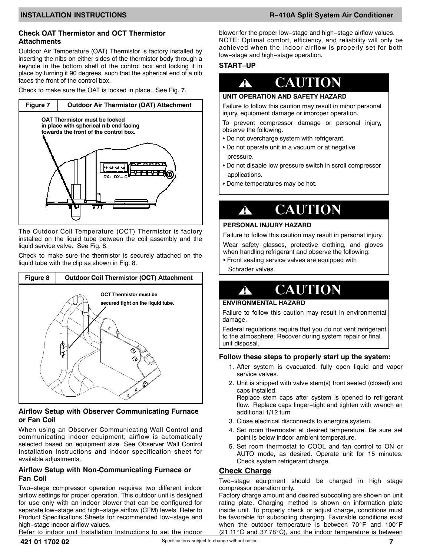### **Check OAT Thermistor and OCT Thermistor Attachments**

Outdoor Air Temperature (OAT) Thermistor is factory installed by inserting the nibs on either sides of the thermistor body through a keyhole in the bottom shelf of the control box and locking it in place by turning it 90 degrees, such that the spherical end of a nib faces the front of the control box.

Check to make sure the OAT is locked in place. See Fig. 7.



The Outdoor Coil Temperature (OCT) Thermistor is factory installed on the liquid tube between the coil assembly and the liquid service valve. See Fig. 8.

Check to make sure the thermistor is securely attached on the liquid tube with the clip as shown in Fig. 8.



### **Airflow Setup with Observer Communicating Furnace or Fan Coil**

When using an Observer Communicating Wall Control and communicating indoor equipment, airflow is automatically selected based on equipment size. See Observer Wall Control Installation Instructions and indoor specification sheet for available adjustments.

### **Airflow Setup with Non-Communicating Furnace or Fan Coil**

Two−stage compressor operation requires two different indoor airflow settings for proper operation. This outdoor unit is designed for use only with an indoor blower that can be configured for separate low−stage and high−stage airflow (CFM) levels. Refer to Product Specifications Sheets for recommended low−stage and high−stage indoor airflow values.

Refer to indoor unit Installation Instructions to set the indoor

blower for the proper low−stage and high−stage airflow values. NOTE: Optimal comfort, efficiency, and reliability will only be achieved when the indoor airflow is properly set for both low−stage and high−stage operation.

### **START−UP**



### **UNIT OPERATION AND SAFETY HAZARD**

Failure to follow this caution may result in minor personal injury, equipment damage or improper operation.

To prevent compressor damage or personal injury, observe the following:

- **Do not overcharge system with refrigerant.**
- Do not operate unit in a vacuum or at negative pressure.
- .<br>• Do not disable low pressure switch in scroll compressor applications.
- ...<br>• Dome temperatures may be hot.

## **! CAUTION**

### **PERSONAL INJURY HAZARD**

Failure to follow this caution may result in personal injury.

Wear safety glasses, protective clothing, and gloves when handling refrigerant and observe the following:

 Front seating service valves are equipped with Schrader valves.

# **! CAUTION**

### **ENVIRONMENTAL HAZARD**

Failure to follow this caution may result in environmental damage.

Federal regulations require that you do not vent refrigerant to the atmosphere. Recover during system repair or final unit disposal.

### **Follow these steps to properly start up the system:**

- 1. After system is evacuated, fully open liquid and vapor service valves.
- 2. Unit is shipped with valve stem(s) front seated (closed) and caps installed.

Replace stem caps after system is opened to refrigerant flow. Replace caps finger−tight and tighten with wrench an additional 1/12 turn

- 3. Close electrical disconnects to energize system.
- 4. Set room thermostat at desired temperature. Be sure set point is below indoor ambient temperature.
- 5. Set room thermostat to COOL and fan control to ON or AUTO mode, as desired. Operate unit for 15 minutes. Check system refrigerant charge.

### **Check Charge**

Two−stage equipment should be charged in high stage compressor operation only.

Factory charge amount and desired subcooling are shown on unit rating plate. Charging method is shown on information plate inside unit. To properly check or adjust charge, conditions must be favorable for subcooling charging. Favorable conditions exist when the outdoor temperature is between 70°F and 100°F  $(21.11^{\circ}$ C and  $37.78^{\circ}$ C), and the indoor temperature is between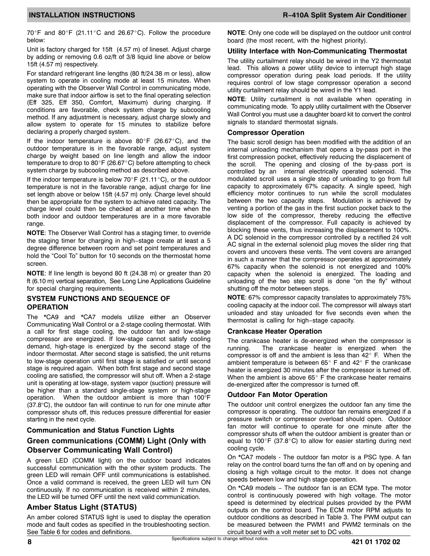$70^{\circ}$ F and  $80^{\circ}$ F (21.11 $^{\circ}$ C and 26.67 $^{\circ}$ C). Follow the procedure below:

Unit is factory charged for 15ft (4.57 m) of lineset. Adjust charge by adding or removing 0.6 oz/ft of 3/8 liquid line above or below 15ft (4.57 m) respectively.

For standard refrigerant line lengths (80 ft/24.38 m or less), allow system to operate in cooling mode at least 15 minutes. When operating with the Observer Wall Control in communicating mode, make sure that indoor airflow is set to the final operating selection (Eff 325, Eff 350, Comfort, Maximum) during charging. If conditions are favorable, check system charge by subcooling method. If any adjustment is necessary, adjust charge slowly and allow system to operate for 15 minutes to stabilize before declaring a properly charged system.

If the indoor temperature is above 80-F (26.67-C), and the outdoor temperature is in the favorable range, adjust system charge by weight based on line length and allow the indoor temperature to drop to 80-F (26.67-C) before attempting to check system charge by subcooling method as described above.

If the indoor temperature is below 70°F (21.11°C), or the outdoor temperature is not in the favorable range, adjust charge for line set length above or below 15ft (4.57 m) only. Charge level should then be appropriate for the system to achieve rated capacity. The charge level could then be checked at another time when the both indoor and outdoor temperatures are in a more favorable range.

**NOTE**: The Observer Wall Control has a staging timer, to override the staging timer for charging in high−stage create at least a 5 degree difference between room and set point temperatures and hold the "Cool To" button for 10 seconds on the thermostat home screen.

**NOTE**: If line length is beyond 80 ft (24.38 m) or greater than 20 ft (6.10 m) vertical separation, See Long Line Applications Guideline for special charging requirements.

### **SYSTEM FUNCTIONS AND SEQUENCE OF OPERATION**

The \*CA9 and \*CA7 models utilize either an Observer Communicating Wall Control or a 2-stage cooling thermostat. With a call for first stage cooling, the outdoor fan and low-stage compressor are energized. If low-stage cannot satisfy cooling demand, high-stage is energized by the second stage of the indoor thermostat. After second stage is satisfied, the unit returns to low-stage operation until first stage is satisfied or until second stage is required again. When both first stage and second stage cooling are satisfied, the compressor will shut off. When a 2-stage unit is operating at low-stage, system vapor (suction) pressure will be higher than a standard single-stage system or high-stage operation. When the outdoor ambient is more than 100°F (37.8°C), the outdoor fan will continue to run for one minute after compressor shuts off, this reduces pressure differential for easier starting in the next cycle.

### **Communication and Status Function Lights**

### **Green communications (COMM) Light (Only with Observer Communicating Wall Control)**

A green LED (COMM light) on the outdoor board indicates successful communication with the other system products. The green LED will remain OFF until communications is established. Once a valid command is received, the green LED will turn ON continuously. If no communication is received within 2 minutes, the LED will be turned OFF until the next valid communication.

### **Amber Status Light (STATUS)**

An amber colored STATUS light is used to display the operation mode and fault codes as specified in the troubleshooting section. See Table 6 for codes and definitions.

### **Utility Interface with Non-Communicating Thermostat**

The utility curtailment relay should be wired in the Y2 thermostat lead. This allows a power utility device to interrupt high stage compressor operation during peak load periods. If the utility requires control of low stage compressor operation a second utility curtailment relay should be wired in the Y1 lead.

**NOTE**: Utility curtailment is not available when operating in communicating mode. To apply utility curtailment with the Observer Wall Control you must use a daughter board kit to convert the control signals to standard thermostat signals.

### **Compressor Operation**

The basic scroll design has been modified with the addition of an internal unloading mechanism that opens a by-pass port in the first compression pocket, effectively reducing the displacement of the scroll. The opening and closing of the by-pass port is controlled by an internal electrically operated solenoid. The modulated scroll uses a single step of unloading to go from full capacity to approximately 67% capacity. A single speed, high efficiency motor continues to run while the scroll modulates between the two capacity steps. Modulation is achieved by venting a portion of the gas in the first suction pocket back to the low side of the compressor, thereby reducing the effective displacement of the compressor. Full capacity is achieved by blocking these vents, thus increasing the displacement to 100%. A DC solenoid in the compressor controlled by a rectified 24 volt AC signal in the external solenoid plug moves the slider ring that covers and uncovers these vents. The vent covers are arranged in such a manner that the compressor operates at approximately 67% capacity when the solenoid is not energized and 100% capacity when the solenoid is energized. The loading and unloading of the two step scroll is done "on the fly" without shutting off the motor between steps.

**NOTE**: 67% compressor capacity translates to approximately 75% cooling capacity at the indoor coil. The compressor will always start unloaded and stay unloaded for five seconds even when the thermostat is calling for high−stage capacity.

### **Crankcase Heater Operation**

The crankcase heater is de-energized when the compressor is running. The crankcase heater is energized when the compressor is off and the ambient is less than 42- F. When the  $\frac{1}{2}$  and the ambient is less than  $\frac{1}{2}$ . When the ambient temperature is between 65 $^{\circ}$  F and 42 $^{\circ}$  F the crankcase heater is energized 30 minutes after the compressor is turned off. Neater is energized be mindles after the compressor is tarried on:<br>When the ambient is above 65° F the crankcase heater remains de-energized after the compressor is turned off.

### **Outdoor Fan Motor Operation**

The outdoor unit control energizes the outdoor fan any time the compressor is operating. The outdoor fan remains energized if a pressure switch or compressor overload should open. Outdoor fan motor will continue to operate for one minute after the compressor shuts off when the outdoor ambient is greater than or equal to 100°F (37.8°C) to allow for easier starting during next cooling cycle.

On \*CA7 models - The outdoor fan motor is a PSC type. A fan relay on the control board turns the fan off and on by opening and closing a high voltage circuit to the motor. It does not change speeds between low and high stage operation.

On \*CA9 models − The outdoor fan is an ECM type. The motor control is continuously powered with high voltage. The motor speed is determined by electrical pulses provided by the PWM outputs on the control board. The ECM motor RPM adjusts to outdoor conditions as described in Table 3. The PWM output can be measured between the PWM1 and PWM2 terminals on the circuit board with a volt meter set to DC volts.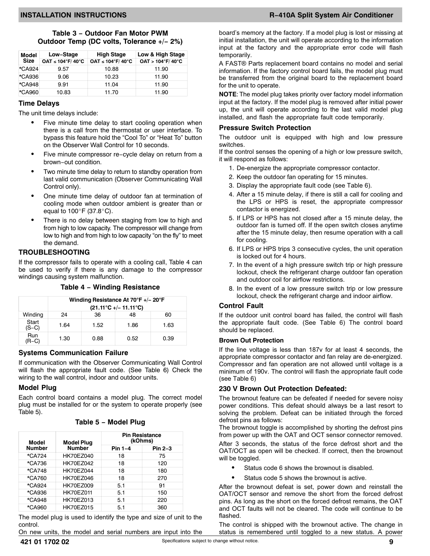| Table 3 - Outdoor Fan Motor PWM           |  |
|-------------------------------------------|--|
| Outdoor Temp (DC volts, Tolerance +/- 2%) |  |

| Model         | Low-Stage                          | <b>High Stage</b>                   | Low & High Stage |
|---------------|------------------------------------|-------------------------------------|------------------|
| <b>Size</b>   | $OAT \le 104^{\circ}F/40^{\circ}C$ | $OAT \leq 104^{\circ}F/40^{\circ}C$ | OAT > 104°F/40°C |
| *CA924        | 9.57                               | 10.88                               | 11.90            |
| *CA936        | 9.06                               | 10.23                               | 11.90            |
| $\star$ CA948 | 9.91                               | 11.04                               | 11.90            |
| *CA960        | 10.83                              | 11.70                               | 11.90            |

### **Time Delays**

The unit time delays include:

- Five minute time delay to start cooling operation when there is a call from the thermostat or user interface. To bypass this feature hold the "Cool To" or "Heat To" button on the Observer Wall Control for 10 seconds.  $\overline{a}$
- Five minute compressor re−cycle delay on return from a brown−out condition.
- $\bullet$  Two minute time delay to return to standby operation from last valid communication (Observer Communicating Wall Control only).
- $\bullet$  One minute time delay of outdoor fan at termination of cooling mode when outdoor ambient is greater than or cooling mode when out<br>equal to 100°F (37.8°C).
- $\overline{a}$  There is no delay between staging from low to high and from high to low capacity. The compressor will change from low to high and from high to low capacity "on the fly" to meet the demand.

### **TROUBLESHOOTING**

If the compressor fails to operate with a cooling call, Table 4 can be used to verify if there is any damage to the compressor windings causing system malfunction.

|                         | Winding Resistance At 70°F +/- 20°F   |      |      |      |
|-------------------------|---------------------------------------|------|------|------|
|                         | $(21.11^{\circ}C + - 11.11^{\circ}C)$ |      |      |      |
| Winding                 | 24                                    | 36   | 48   | 60   |
| <b>Start</b><br>$(S-C)$ | 1.64                                  | 1.52 | 1.86 | 1.63 |
| Run<br>(R–C             | 1.30                                  | 0.88 | 0.52 | 0.39 |

**Table 4 − Winding Resistance**

### **Systems Communication Failure**

If communication with the Observer Communicating Wall Control will flash the appropriate fault code. (See Table 6) Check the wiring to the wall control, indoor and outdoor units.

### **Model Plug**

Each control board contains a model plug. The correct model plug must be installed for or the system to operate properly (see Table 5).

| Model         | <b>Model Plug</b> | <b>Pin Resistance</b><br>(kOhms) |         |
|---------------|-------------------|----------------------------------|---------|
| <b>Number</b> | <b>Number</b>     | Pin $1-4$                        | Pin 2-3 |
| *CA724        | <b>HK70EZ040</b>  | 18                               | 75      |
| *CA736        | <b>HK70EZ042</b>  | 18                               | 120     |
| *CA748        | <b>HK70EZ044</b>  | 18                               | 180     |
| *CA760        | <b>HK70EZ046</b>  | 18                               | 270     |
| *CA924        | <b>HK70EZ009</b>  | 5.1                              | 91      |
| $*C$ A936     | <b>HK70EZ011</b>  | 5.1                              | 150     |
| $*CA948$      | <b>HK70EZ013</b>  | 5.1                              | 220     |
| *CA960        | <b>HK70EZ015</b>  | 5.1                              | 360     |

**Table 5 − Model Plug**

The model plug is used to identify the type and size of unit to the control.

On new units, the model and serial numbers are input into the

board's memory at the factory. If a model plug is lost or missing at initial installation, the unit will operate according to the information input at the factory and the appropriate error code will flash temporarily.

A FAST® Parts replacement board contains no model and serial information. If the factory control board fails, the model plug must be transferred from the original board to the replacement board for the unit to operate.

**NOTE**: The model plug takes priority over factory model information input at the factory. If the model plug is removed after initial power up, the unit will operate according to the last valid model plug installed, and flash the appropriate fault code temporarily.

### **Pressure Switch Protection**

The outdoor unit is equipped with high and low pressure switches.

If the control senses the opening of a high or low pressure switch, it will respond as follows:

- 1. De-energize the appropriate compressor contactor.
- 2. Keep the outdoor fan operating for 15 minutes.
- 3. Display the appropriate fault code (see Table 6).
- 4. After a 15 minute delay, if there is still a call for cooling and the LPS or HPS is reset, the appropriate compressor contactor is energized.
- 5. If LPS or HPS has not closed after a 15 minute delay, the outdoor fan is turned off. If the open switch closes anytime after the 15 minute delay, then resume operation with a call for cooling.
- 6. If LPS or HPS trips 3 consecutive cycles, the unit operation is locked out for 4 hours.
- 7. In the event of a high pressure switch trip or high pressure lockout, check the refrigerant charge outdoor fan operation and outdoor coil for airflow restrictions.
- 8. In the event of a low pressure switch trip or low pressure lockout, check the refrigerant charge and indoor airflow.

### **Control Fault**

If the outdoor unit control board has failed, the control will flash the appropriate fault code. (See Table 6) The control board should be replaced.

### **Brown Out Protection**

If the line voltage is less than 187v for at least 4 seconds, the appropriate compressor contactor and fan relay are de-energized. Compressor and fan operation are not allowed until voltage is a minimum of 190v. The control will flash the appropriate fault code (see Table 6)

### **230 V Brown Out Protection Defeated:**

The brownout feature can be defeated if needed for severe noisy power conditions. This defeat should always be a last resort to solving the problem. Defeat can be initiated through the forced defrost pins as follows:

The brownout toggle is accomplished by shorting the defrost pins from power up with the OAT and OCT sensor connector removed.

After 3 seconds, the status of the force defrost short and the OAT/OCT as open will be checked. If correct, then the brownout will be toggled.<br>Chature

- Status code 6 shows the brownout is disabled.
- $\bullet$ Status code 5 shows the brownout is active.

After the brownout defeat is set, power down and reinstall the OAT/OCT sensor and remove the short from the forced defrost pins. As long as the short on the forced defrost remains, the OAT and OCT faults will not be cleared. The code will continue to be flashed.

The control is shipped with the brownout active. The change in status is remembered until toggled to a new status. A power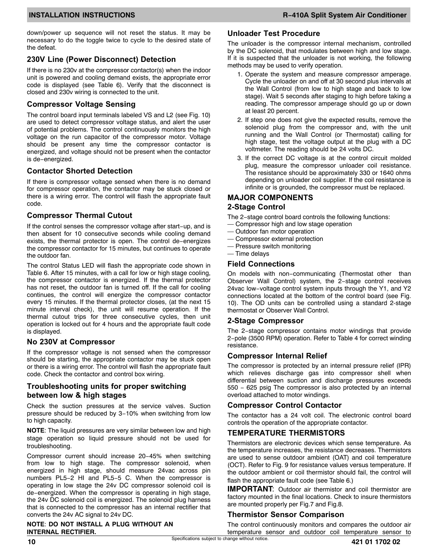down/power up sequence will not reset the status. It may be necessary to do the toggle twice to cycle to the desired state of the defeat.

### **230V Line (Power Disconnect) Detection**

If there is no 230v at the compressor contactor(s) when the indoor unit is powered and cooling demand exists, the appropriate error code is displayed (see Table 6). Verify that the disconnect is closed and 230v wiring is connected to the unit.

### **Compressor Voltage Sensing**

The control board input terminals labeled VS and L2 (see Fig. 10) are used to detect compressor voltage status, and alert the user of potential problems. The control continuously monitors the high voltage on the run capacitor of the compressor motor. Voltage should be present any time the compressor contactor is energized, and voltage should not be present when the contactor is de−energized.

### **Contactor Shorted Detection**

If there is compressor voltage sensed when there is no demand for compressor operation, the contactor may be stuck closed or there is a wiring error. The control will flash the appropriate fault code.

### **Compressor Thermal Cutout**

If the control senses the compressor voltage after start−up, and is then absent for 10 consecutive seconds while cooling demand exists, the thermal protector is open. The control de−energizes the compressor contactor for 15 minutes, but continues to operate the outdoor fan.

The control Status LED will flash the appropriate code shown in Table 6. After 15 minutes, with a call for low or high stage cooling, the compressor contactor is energized. If the thermal protector has not reset, the outdoor fan is turned off. If the call for cooling continues, the control will energize the compressor contactor every 15 minutes. If the thermal protector closes, (at the next 15 minute interval check), the unit will resume operation. If the thermal cutout trips for three consecutive cycles, then unit operation is locked out for 4 hours and the appropriate fault code is displayed.

### **No 230V at Compressor**

If the compressor voltage is not sensed when the compressor should be starting, the appropriate contactor may be stuck open or there is a wiring error. The control will flash the appropriate fault code. Check the contactor and control box wiring.

### **Troubleshooting units for proper switching between low & high stages**

Check the suction pressures at the service valves. Suction pressure should be reduced by 3−10% when switching from low to high capacity.

**NOTE**: The liquid pressures are very similar between low and high stage operation so liquid pressure should not be used for troubleshooting.

Compressor current should increase 20−45% when switching from low to high stage. The compressor solenoid, when energized in high stage, should measure 24vac across pin numbers PL5−2 HI and PL5−5 C. When the compressor is operating in low stage the 24v DC compressor solenoid coil is de−energized. When the compressor is operating in high stage, the 24v DC solenoid coil is energized. The solenoid plug harness that is connected to the compressor has an internal rectifier that converts the 24v AC signal to 24v DC.

#### **NOTE**: **DO NOT INSTALL A PLUG WITHOUT AN INTERNAL RECTIFIER.**

### **Unloader Test Procedure**

The unloader is the compressor internal mechanism, controlled by the DC solenoid, that modulates between high and low stage. If it is suspected that the unloader is not working, the following methods may be used to verify operation.

- 1. Operate the system and measure compressor amperage. Cycle the unloader on and off at 30 second plus intervals at the Wall Control (from low to high stage and back to low stage). Wait 5 seconds after staging to high before taking a reading. The compressor amperage should go up or down at least 20 percent.
- 2. If step one does not give the expected results, remove the solenoid plug from the compressor and, with the unit running and the Wall Control (or Thermostat) calling for high stage, test the voltage output at the plug with a DC voltmeter. The reading should be 24 volts DC.
- 3. If the correct DC voltage is at the control circuit molded plug, measure the compressor unloader coil resistance. The resistance should be approximately 330 or 1640 ohms depending on unloader coil supplier. If the coil resistance is infinite or is grounded, the compressor must be replaced.

### **MAJOR COMPONENTS 2-Stage Control**

The 2−stage control board controls the following functions:

- Compressor high and low stage operation
- Outdoor fan motor operation
- Compressor external protection
- Pressure switch monitoring
- Time delays

### **Field Connections**

On models with non−communicating (Thermostat other than Observer Wall Control) system, the 2−stage control receives 24vac low−voltage control system inputs through the Y1, and Y2 connections located at the bottom of the control board (see Fig. 10). The OD units can be controlled using a standard 2-stage thermostat or Observer Wall Control.

### **2-Stage Compressor**

The 2−stage compressor contains motor windings that provide 2−pole (3500 RPM) operation. Refer to Table 4 for correct winding resistance.

### **Compressor Internal Relief**

The compressor is protected by an internal pressure relief (IPR) which relieves discharge gas into compressor shell when differential between suction and discharge pressures exceeds 550 − 625 psig The compressor is also protected by an internal overload attached to motor windings.

### **Compressor Control Contactor**

The contactor has a 24 volt coil. The electronic control board controls the operation of the appropriate contactor.

### **TEMPERATURE THERMISTORS**

Thermistors are electronic devices which sense temperature. As the temperature increases, the resistance decreases. Thermistors are used to sense outdoor ambient (OAT) and coil temperature (OCT). Refer to Fig. 9 for resistance values versus temperature. If the outdoor ambient or coil thermistor should fail, the control will flash the appropriate fault code (see Table 6.)

**IMPORTANT**: Outdoor air thermistor and coil thermistor are factory mounted in the final locations. Check to insure thermistors are mounted properly per Fig.7 and Fig.8.

### **Thermistor Sensor Comparison**

The control continuously monitors and compares the outdoor air temperature sensor and outdoor coil temperature sensor to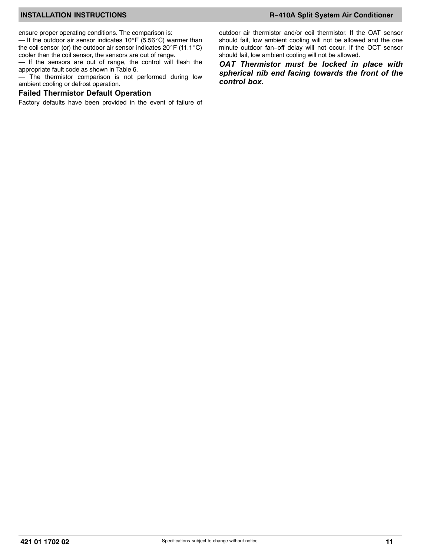ensure proper operating conditions. The comparison is:

— If the outdoor air sensor indicates 10-F (5.56-C) warmer than the coil sensor (or) the outdoor air sensor indicates  $20^\circ$ F (11.1 $^\circ$ C) cooler than the coil sensor, the sensors are out of range.

— If the sensors are out of range, the control will flash the appropriate fault code as shown in Table 6.

The thermistor comparison is not performed during low ambient cooling or defrost operation.

### **Failed Thermistor Default Operation**

Factory defaults have been provided in the event of failure of

outdoor air thermistor and/or coil thermistor. If the OAT sensor should fail, low ambient cooling will not be allowed and the one minute outdoor fan−off delay will not occur. If the OCT sensor should fail, low ambient cooling will not be allowed.

*OAT Thermistor must be locked in place with spherical nib end facing towards the front of the control box.*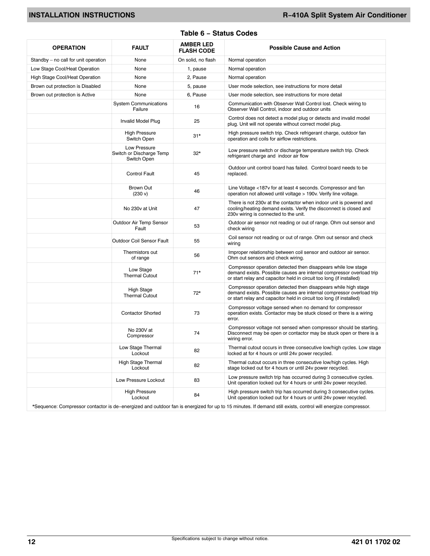| <b>OPERATION</b>                     | <b>FAULT</b>                                            | <b>AMBER LED</b>   | <b>Possible Cause and Action</b>                                                                                                                                                                                                                                                                          |
|--------------------------------------|---------------------------------------------------------|--------------------|-----------------------------------------------------------------------------------------------------------------------------------------------------------------------------------------------------------------------------------------------------------------------------------------------------------|
|                                      |                                                         | <b>FLASH CODE</b>  |                                                                                                                                                                                                                                                                                                           |
| Standby - no call for unit operation | None                                                    | On solid, no flash | Normal operation                                                                                                                                                                                                                                                                                          |
| Low Stage Cool/Heat Operation        | None                                                    | 1, pause           | Normal operation                                                                                                                                                                                                                                                                                          |
| High Stage Cool/Heat Operation       | None                                                    | 2, Pause           | Normal operation                                                                                                                                                                                                                                                                                          |
| Brown out protection is Disabled     | None                                                    | 5, pause           | User mode selection, see instructions for more detail                                                                                                                                                                                                                                                     |
| Brown out protection is Active       | None                                                    | 6, Pause           | User mode selection, see instructions for more detail                                                                                                                                                                                                                                                     |
|                                      | <b>System Communications</b><br>Failure                 | 16                 | Communication with Observer Wall Control lost. Check wiring to<br>Observer Wall Control, indoor and outdoor units                                                                                                                                                                                         |
|                                      | Invalid Model Plug                                      | 25                 | Control does not detect a model plug or detects and invalid model<br>plug. Unit will not operate without correct model plug.                                                                                                                                                                              |
|                                      | <b>High Pressure</b><br>Switch Open                     | $31*$              | High pressure switch trip. Check refrigerant charge, outdoor fan<br>operation and coils for airflow restrictions.                                                                                                                                                                                         |
|                                      | Low Pressure<br>Switch or Discharge Temp<br>Switch Open | $32*$              | Low pressure switch or discharge temperature switch trip. Check<br>refrigerant charge and indoor air flow                                                                                                                                                                                                 |
|                                      | <b>Control Fault</b>                                    | 45                 | Outdoor unit control board has failed. Control board needs to be<br>replaced.                                                                                                                                                                                                                             |
|                                      | Brown Out<br>(230 v)                                    | 46                 | Line Voltage <187v for at least 4 seconds. Compressor and fan<br>operation not allowed until voltage > 190v. Verify line voltage.                                                                                                                                                                         |
|                                      | No 230y at Unit                                         | 47                 | There is not 230v at the contactor when indoor unit is powered and<br>cooling/heating demand exists. Verify the disconnect is closed and<br>230v wiring is connected to the unit.                                                                                                                         |
|                                      | Outdoor Air Temp Sensor<br>Fault                        | 53                 | Outdoor air sensor not reading or out of range. Ohm out sensor and<br>check wiring                                                                                                                                                                                                                        |
|                                      | Outdoor Coil Sensor Fault                               | 55                 | Coil sensor not reading or out of range. Ohm out sensor and check<br>wiring                                                                                                                                                                                                                               |
|                                      | Thermistors out<br>of range                             | 56                 | Improper relationship between coil sensor and outdoor air sensor.<br>Ohm out sensors and check wiring.                                                                                                                                                                                                    |
|                                      | Low Stage<br><b>Thermal Cutout</b>                      | $71*$              | Compressor operation detected then disappears while low stage<br>demand exists. Possible causes are internal compressor overload trip<br>or start relay and capacitor held in circuit too long (if installed)                                                                                             |
|                                      | <b>High Stage</b><br><b>Thermal Cutout</b>              | $72*$              | Compressor operation detected then disappears while high stage<br>demand exists. Possible causes are internal compressor overload trip<br>or start relay and capacitor held in circuit too long (if installed)                                                                                            |
|                                      | <b>Contactor Shorted</b>                                | 73                 | Compressor voltage sensed when no demand for compressor<br>operation exists. Contactor may be stuck closed or there is a wiring<br>error.                                                                                                                                                                 |
|                                      | No 230V at<br>Compressor                                | 74                 | Compressor voltage not sensed when compressor should be starting.<br>Disconnect may be open or contactor may be stuck open or there is a<br>wiring error.                                                                                                                                                 |
|                                      | Low Stage Thermal<br>Lockout                            | 82                 | Thermal cutout occurs in three consecutive low/high cycles. Low stage<br>locked at for 4 hours or until 24v power recycled.                                                                                                                                                                               |
|                                      | High Stage Thermal<br>Lockout                           | 82                 | Thermal cutout occurs in three consecutive low/high cycles. High<br>stage locked out for 4 hours or until 24v power recycled.                                                                                                                                                                             |
|                                      | Low Pressure Lockout                                    | 83                 | Low pressure switch trip has occurred during 3 consecutive cycles.<br>Unit operation locked out for 4 hours or until 24v power recycled.                                                                                                                                                                  |
|                                      | High Pressure<br>Lockout                                | 84                 | High pressure switch trip has occurred during 3 consecutive cycles.<br>Unit operation locked out for 4 hours or until 24v power recycled.<br>*Sequence: Compressor contactor is de–energized and outdoor fan is energized for up to 15 minutes. If demand still exists, control will energize compressor. |

### **Table 6 − Status Codes**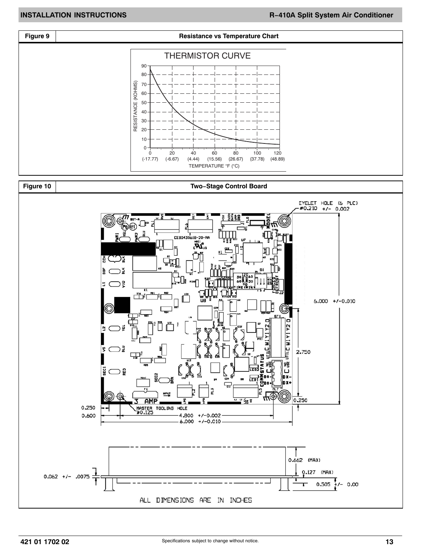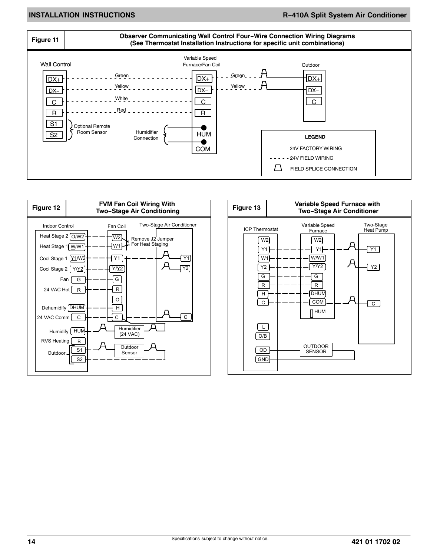### **INSTALLATION INSTRUCTIONS R−410A Split System Air Conditioner**





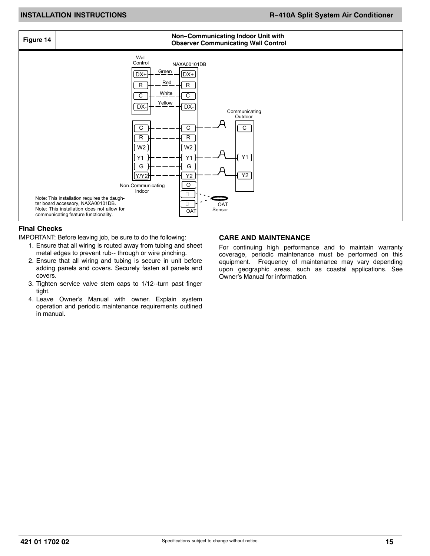#### **Figure 14 Non−Communicating Indoor Unit with Observer Communicating Wall Control** NAXA00101DB Green Yellow White Red **OAT** Sensor **Communicating** Outdoor W2  $\overline{\text{c}}$ Y1  $\overline{\text{c}}$ R -Wall Control OAT DX+ R  $\overline{\text{c}}$ DX-Y1 G  $\overline{\circ}$  $\overline{\text{c}}$ Y1 R W2 G DX+ R  $\overline{c}$ DX-Non-Communicating Indoor Note: This installation requires the daughter board accessory, NAXA00101DB. Note: This installation does not allow for communicating feature functionality. Y/Y2 Y2 Y2

### **Final Checks**

IMPORTANT: Before leaving job, be sure to do the following:

- 1. Ensure that all wiring is routed away from tubing and sheet metal edges to prevent rub-- through or wire pinching.
- 2. Ensure that all wiring and tubing is secure in unit before adding panels and covers. Securely fasten all panels and covers.
- 3. Tighten service valve stem caps to 1/12--turn past finger tight.
- 4. Leave Owner's Manual with owner. Explain system operation and periodic maintenance requirements outlined in manual.

### **CARE AND MAINTENANCE**

For continuing high performance and to maintain warranty coverage, periodic maintenance must be performed on this equipment. Frequency of maintenance may vary depending upon geographic areas, such as coastal applications. See Owner's Manual for information.